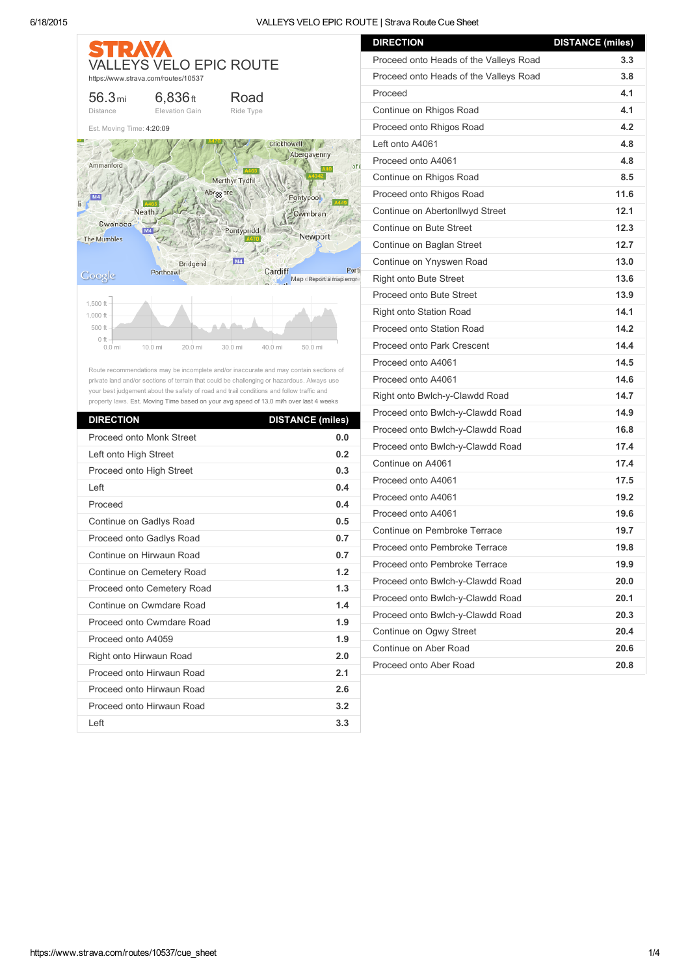| STRAV                                                              | <b>VALLEYS VELO EPIC ROUTE</b><br>https://www.strava.com/routes/10537                                                                                                                                                                                                                                                                                                     |                                                                              |                                                                                                                       |
|--------------------------------------------------------------------|---------------------------------------------------------------------------------------------------------------------------------------------------------------------------------------------------------------------------------------------------------------------------------------------------------------------------------------------------------------------------|------------------------------------------------------------------------------|-----------------------------------------------------------------------------------------------------------------------|
| 56.3 <sub>mi</sub><br><b>Distance</b>                              | $6,836$ ft<br>Elevation Gain                                                                                                                                                                                                                                                                                                                                              | Road<br>Ride Type                                                            |                                                                                                                       |
| Est. Moving Time: 4:20:09                                          |                                                                                                                                                                                                                                                                                                                                                                           |                                                                              |                                                                                                                       |
| Ammanford<br>Swansea<br><b>The Mumbles</b><br>Google               | Neath<br>M4<br><b>Bridgend</b><br>Porthcawl                                                                                                                                                                                                                                                                                                                               | Merthyr Tydfi<br>Abr <sub>88</sub> are<br>Pontypridd<br><b>M4</b><br>Cardiff | Crickhowell<br>Abergavenny<br>of <sub>0</sub><br>Pontypool<br>Cwmbran<br>Newport<br>Porti<br>Map dReport a map errore |
| $1,500$ ft -<br>$1,000$ ft -<br>500 ft -<br>$0$ ft $-$<br>$0.0$ mi | 10.0 mi<br>20.0 mi                                                                                                                                                                                                                                                                                                                                                        | 30.0 mi<br>40.0 mi                                                           | 50.0 mi                                                                                                               |
|                                                                    | Route recommendations may be incomplete and/or inaccurate and may contain sections of<br>private land and/or sections of terrain that could be challenging or hazardous. Always use<br>your best judgement about the safety of road and trail conditions and follow traffic and<br>property laws. Est. Moving Time based on your avg speed of 13.0 mi/h over last 4 weeks |                                                                              |                                                                                                                       |
| <b>DIRECTION</b>                                                   |                                                                                                                                                                                                                                                                                                                                                                           |                                                                              | <b>DISTANCE (miles)</b>                                                                                               |
|                                                                    | Proceed onto Monk Street                                                                                                                                                                                                                                                                                                                                                  |                                                                              | 0.0                                                                                                                   |
| Left onto High Street                                              |                                                                                                                                                                                                                                                                                                                                                                           |                                                                              | 0.2                                                                                                                   |
|                                                                    | Proceed onto High Street                                                                                                                                                                                                                                                                                                                                                  |                                                                              | 0.3                                                                                                                   |

| Left onto High Street      | 0.2 |
|----------------------------|-----|
| Proceed onto High Street   | 0.3 |
| I eft                      | 0.4 |
| Proceed                    | 0.4 |
| Continue on Gadlys Road    | 0.5 |
| Proceed onto Gadlys Road   | 0.7 |
| Continue on Hirwaun Road   | 0.7 |
| Continue on Cemetery Road  | 1.2 |
| Proceed onto Cemetery Road | 1.3 |
| Continue on Cwmdare Road   | 1.4 |
| Proceed onto Cwmdare Road  | 1.9 |
| Proceed onto A4059         | 1.9 |
| Right onto Hirwaun Road    | 2.0 |
| Proceed onto Hirwaun Road  | 2.1 |
| Proceed onto Hirwaun Road  | 2.6 |
| Proceed onto Hirwaun Road  | 3.2 |
| Left                       | 3.3 |

| <b>DIRECTION</b><br><b>DISTANCE (miles)</b> |      |
|---------------------------------------------|------|
| Proceed onto Heads of the Valleys Road      | 3.3  |
| Proceed onto Heads of the Valleys Road      | 3.8  |
| Proceed                                     | 4.1  |
| Continue on Rhigos Road                     | 4.1  |
| Proceed onto Rhigos Road                    | 4.2  |
| Left onto A4061                             | 4.8  |
| Proceed onto A4061                          | 4.8  |
| Continue on Rhigos Road                     | 8.5  |
| Proceed onto Rhigos Road                    | 11.6 |
| Continue on Abertonllwyd Street             | 12.1 |
| Continue on Bute Street                     | 12.3 |
| Continue on Baglan Street                   | 12.7 |
| Continue on Ynyswen Road                    | 13.0 |
| <b>Right onto Bute Street</b>               | 13.6 |
| Proceed onto Bute Street                    | 13.9 |
| <b>Right onto Station Road</b>              | 14.1 |
| Proceed onto Station Road                   | 14.2 |
| Proceed onto Park Crescent                  | 14.4 |
| Proceed onto A4061                          | 14.5 |
| Proceed onto A4061                          | 14.6 |
| Right onto Bwlch-y-Clawdd Road              | 14.7 |
| Proceed onto Bwlch-y-Clawdd Road            | 14.9 |
| Proceed onto Bwlch-y-Clawdd Road            | 16.8 |
| Proceed onto Bwlch-y-Clawdd Road            | 17.4 |
| Continue on A4061                           | 17.4 |
| Proceed onto A4061                          | 17.5 |
| Proceed onto A4061                          | 19.2 |
| Proceed onto A4061                          | 19.6 |
| Continue on Pembroke Terrace                | 19.7 |
| Proceed onto Pembroke Terrace               | 19.8 |
| Proceed onto Pembroke Terrace               | 19.9 |
| Proceed onto Bwlch-y-Clawdd Road            | 20.0 |
| Proceed onto Bwlch-y-Clawdd Road            | 20.1 |
| Proceed onto Bwlch-y-Clawdd Road            | 20.3 |
| Continue on Ogwy Street                     | 20.4 |
| Continue on Aber Road                       | 20.6 |
| Proceed onto Aber Road                      | 20.8 |
|                                             |      |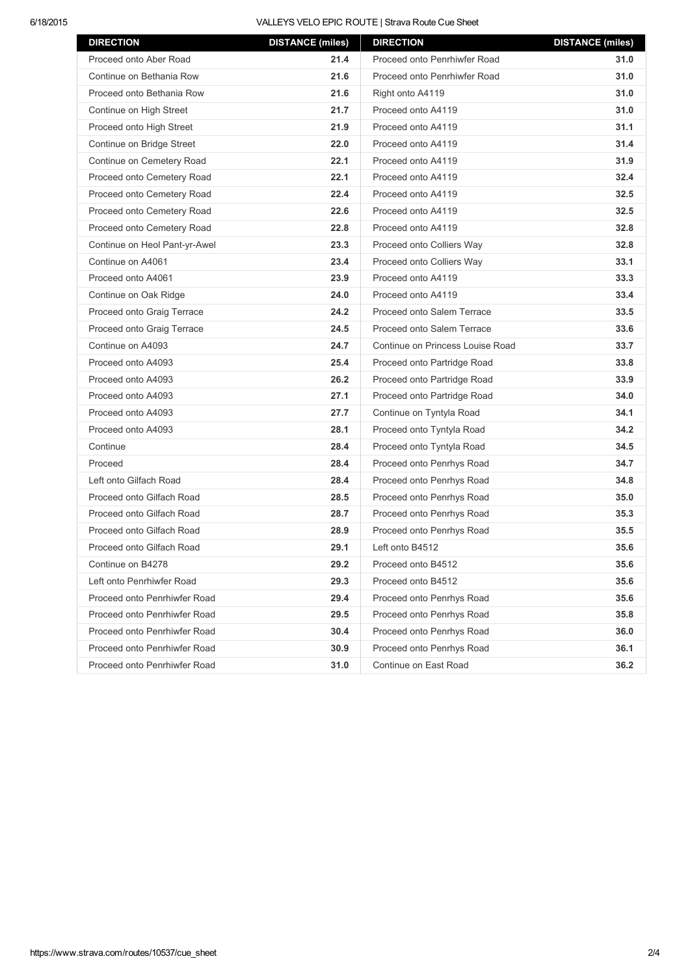## 6/18/2015 VALLEYS VELO EPIC ROUTE | Strava Route Cue Sheet

| <b>DIRECTION</b>              | <b>DISTANCE (miles)</b> | <b>DIRECTION</b>                 | <b>DISTANCE (miles)</b> |
|-------------------------------|-------------------------|----------------------------------|-------------------------|
| Proceed onto Aber Road        | 21.4                    | Proceed onto Penrhiwfer Road     | 31.0                    |
| Continue on Bethania Row      | 21.6                    | Proceed onto Penrhiwfer Road     | 31.0                    |
| Proceed onto Bethania Row     | 21.6                    | Right onto A4119                 | 31.0                    |
| Continue on High Street       | 21.7                    | Proceed onto A4119               | 31.0                    |
| Proceed onto High Street      | 21.9                    | Proceed onto A4119               | 31.1                    |
| Continue on Bridge Street     | 22.0                    | Proceed onto A4119               | 31.4                    |
| Continue on Cemetery Road     | 22.1                    | Proceed onto A4119               | 31.9                    |
| Proceed onto Cemetery Road    | 22.1                    | Proceed onto A4119               | 32.4                    |
| Proceed onto Cemetery Road    | 22.4                    | Proceed onto A4119               | 32.5                    |
| Proceed onto Cemetery Road    | 22.6                    | Proceed onto A4119               | 32.5                    |
| Proceed onto Cemetery Road    | 22.8                    | Proceed onto A4119               | 32.8                    |
| Continue on Heol Pant-yr-Awel | 23.3                    | Proceed onto Colliers Way        | 32.8                    |
| Continue on A4061             | 23.4                    | Proceed onto Colliers Way        | 33.1                    |
| Proceed onto A4061            | 23.9                    | Proceed onto A4119               | 33.3                    |
| Continue on Oak Ridge         | 24.0                    | Proceed onto A4119               | 33.4                    |
| Proceed onto Graig Terrace    | 24.2                    | Proceed onto Salem Terrace       | 33.5                    |
| Proceed onto Graig Terrace    | 24.5                    | Proceed onto Salem Terrace       | 33.6                    |
| Continue on A4093             | 24.7                    | Continue on Princess Louise Road | 33.7                    |
| Proceed onto A4093            | 25.4                    | Proceed onto Partridge Road      | 33.8                    |
| Proceed onto A4093            | 26.2                    | Proceed onto Partridge Road      | 33.9                    |
| Proceed onto A4093            | 27.1                    | Proceed onto Partridge Road      | 34.0                    |
| Proceed onto A4093            | 27.7                    | Continue on Tyntyla Road         | 34.1                    |
| Proceed onto A4093            | 28.1                    | Proceed onto Tyntyla Road        | 34.2                    |
| Continue                      | 28.4                    | Proceed onto Tyntyla Road        | 34.5                    |
| Proceed                       | 28.4                    | Proceed onto Penrhys Road        | 34.7                    |
| Left onto Gilfach Road        | 28.4                    | Proceed onto Penrhys Road        | 34.8                    |
| Proceed onto Gilfach Road     | 28.5                    | Proceed onto Penrhys Road        | 35.0                    |
| Proceed onto Gilfach Road     | 28.7                    | Proceed onto Penrhys Road        | 35.3                    |
| Proceed onto Gilfach Road     | 28.9                    | Proceed onto Penrhys Road        | 35.5                    |
| Proceed onto Gilfach Road     | 29.1                    | Left onto B4512                  | 35.6                    |
| Continue on B4278             | 29.2                    | Proceed onto B4512               | 35.6                    |
| Left onto Penrhiwfer Road     | 29.3                    | Proceed onto B4512               | 35.6                    |
| Proceed onto Penrhiwfer Road  | 29.4                    | Proceed onto Penrhys Road        | 35.6                    |
| Proceed onto Penrhiwfer Road  | 29.5                    | Proceed onto Penrhys Road        | 35.8                    |
| Proceed onto Penrhiwfer Road  | 30.4                    | Proceed onto Penrhys Road        | 36.0                    |
| Proceed onto Penrhiwfer Road  | 30.9                    | Proceed onto Penrhys Road        | 36.1                    |
| Proceed onto Penrhiwfer Road  | 31.0                    | Continue on East Road            | 36.2                    |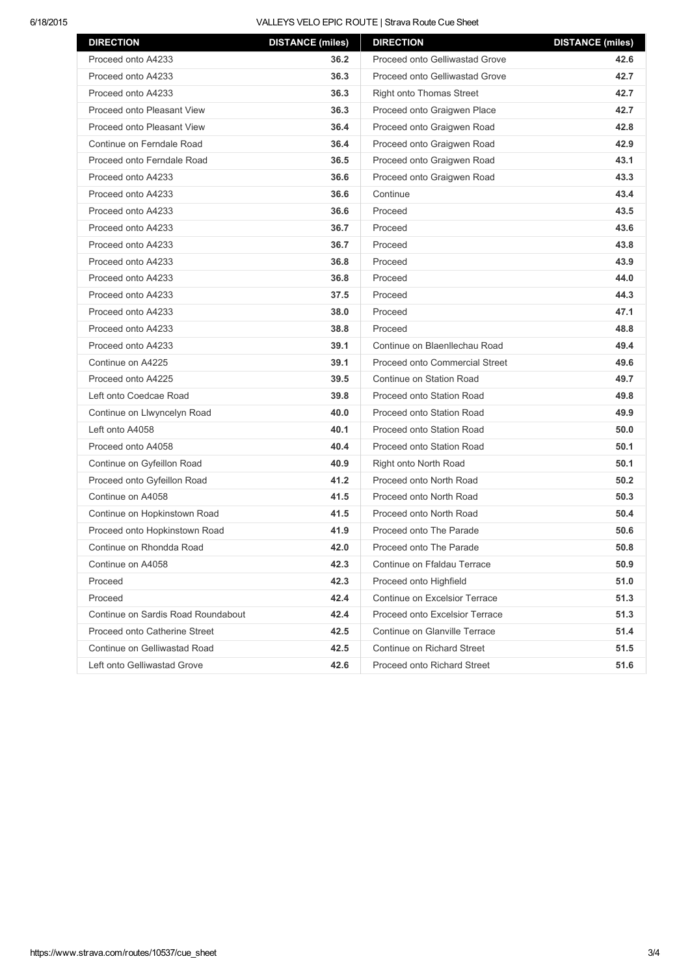## 6/18/2015 VALLEYS VELO EPIC ROUTE | Strava Route Cue Sheet

| <b>DIRECTION</b>                   | <b>DISTANCE (miles)</b> | <b>DIRECTION</b>                | <b>DISTANCE (miles)</b> |
|------------------------------------|-------------------------|---------------------------------|-------------------------|
| Proceed onto A4233                 | 36.2                    | Proceed onto Gelliwastad Grove  | 42.6                    |
| Proceed onto A4233                 | 36.3                    | Proceed onto Gelliwastad Grove  | 42.7                    |
| Proceed onto A4233                 | 36.3                    | <b>Right onto Thomas Street</b> | 42.7                    |
| Proceed onto Pleasant View         | 36.3                    | Proceed onto Graigwen Place     | 42.7                    |
| Proceed onto Pleasant View         | 36.4                    | Proceed onto Graigwen Road      | 42.8                    |
| Continue on Ferndale Road          | 36.4                    | Proceed onto Graigwen Road      | 42.9                    |
| Proceed onto Ferndale Road         | 36.5                    | Proceed onto Graigwen Road      | 43.1                    |
| Proceed onto A4233                 | 36.6                    | Proceed onto Graigwen Road      | 43.3                    |
| Proceed onto A4233                 | 36.6                    | Continue                        | 43.4                    |
| Proceed onto A4233                 | 36.6                    | Proceed                         | 43.5                    |
| Proceed onto A4233                 | 36.7                    | Proceed                         | 43.6                    |
| Proceed onto A4233                 | 36.7                    | Proceed                         | 43.8                    |
| Proceed onto A4233                 | 36.8                    | Proceed                         | 43.9                    |
| Proceed onto A4233                 | 36.8                    | Proceed                         | 44.0                    |
| Proceed onto A4233                 | 37.5                    | Proceed                         | 44.3                    |
| Proceed onto A4233                 | 38.0                    | Proceed                         | 47.1                    |
| Proceed onto A4233                 | 38.8                    | Proceed                         | 48.8                    |
| Proceed onto A4233                 | 39.1                    | Continue on Blaenllechau Road   | 49.4                    |
| Continue on A4225                  | 39.1                    | Proceed onto Commercial Street  | 49.6                    |
| Proceed onto A4225                 | 39.5                    | Continue on Station Road        | 49.7                    |
| Left onto Coedcae Road             | 39.8                    | Proceed onto Station Road       | 49.8                    |
| Continue on Llwyncelyn Road        | 40.0                    | Proceed onto Station Road       | 49.9                    |
| Left onto A4058                    | 40.1                    | Proceed onto Station Road       | 50.0                    |
| Proceed onto A4058                 | 40.4                    | Proceed onto Station Road       | 50.1                    |
| Continue on Gyfeillon Road         | 40.9                    | Right onto North Road           | 50.1                    |
| Proceed onto Gyfeillon Road        | 41.2                    | Proceed onto North Road         | 50.2                    |
| Continue on A4058                  | 41.5                    | Proceed onto North Road         | 50.3                    |
| Continue on Hopkinstown Road       | 41.5                    | Proceed onto North Road         | 50.4                    |
| Proceed onto Hopkinstown Road      | 41.9                    | Proceed onto The Parade         | 50.6                    |
| Continue on Rhondda Road           | 42.0                    | Proceed onto The Parade         | 50.8                    |
| Continue on A4058                  | 42.3                    | Continue on Ffaldau Terrace     | 50.9                    |
| Proceed                            | 42.3                    | Proceed onto Highfield          | 51.0                    |
| Proceed                            | 42.4                    | Continue on Excelsior Terrace   | 51.3                    |
| Continue on Sardis Road Roundabout | 42.4                    | Proceed onto Excelsior Terrace  | 51.3                    |
| Proceed onto Catherine Street      | 42.5                    | Continue on Glanville Terrace   | 51.4                    |
| Continue on Gelliwastad Road       | 42.5                    | Continue on Richard Street      | 51.5                    |
| Left onto Gelliwastad Grove        | 42.6                    | Proceed onto Richard Street     | 51.6                    |
|                                    |                         |                                 |                         |